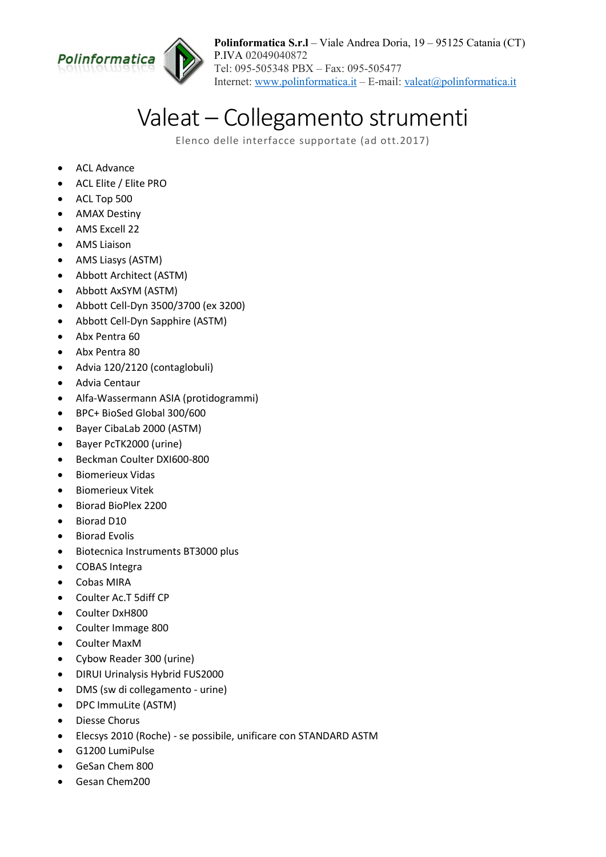

Polinformatica S.r.l – Viale Andrea Doria, 19 – 95125 Catania (CT) P.IVA 02049040872 Tel: 095-505348 PBX – Fax: 095-505477 Internet: www.polinformatica.it – E-mail: valeat@polinformatica.it

## Valeat – Collegamento strumenti

Elenco delle interfacce supportate (ad ott.2017)

- ACL Advance
- ACL Elite / Elite PRO
- ACL Top 500
- AMAX Destiny
- AMS Excell 22
- AMS Liaison
- AMS Liasys (ASTM)
- Abbott Architect (ASTM)
- Abbott AxSYM (ASTM)
- Abbott Cell-Dyn 3500/3700 (ex 3200)
- Abbott Cell-Dyn Sapphire (ASTM)
- Abx Pentra 60
- Abx Pentra 80
- Advia 120/2120 (contaglobuli)
- Advia Centaur
- Alfa-Wassermann ASIA (protidogrammi)
- BPC+ BioSed Global 300/600
- Bayer CibaLab 2000 (ASTM)
- Bayer PcTK2000 (urine)
- Beckman Coulter DXI600-800
- **•** Biomerieux Vidas
- **•** Biomerieux Vitek
- Biorad BioPlex 2200
- Biorad D10
- Biorad Evolis
- Biotecnica Instruments BT3000 plus
- COBAS Integra
- Cobas MIRA
- Coulter Ac.T 5diff CP
- Coulter DxH800
- Coulter Immage 800
- Coulter MaxM
- Cybow Reader 300 (urine)
- DIRUI Urinalysis Hybrid FUS2000
- DMS (sw di collegamento urine)
- DPC ImmuLite (ASTM)
- Diesse Chorus
- Elecsys 2010 (Roche) se possibile, unificare con STANDARD ASTM
- G1200 LumiPulse
- GeSan Chem 800
- Gesan Chem200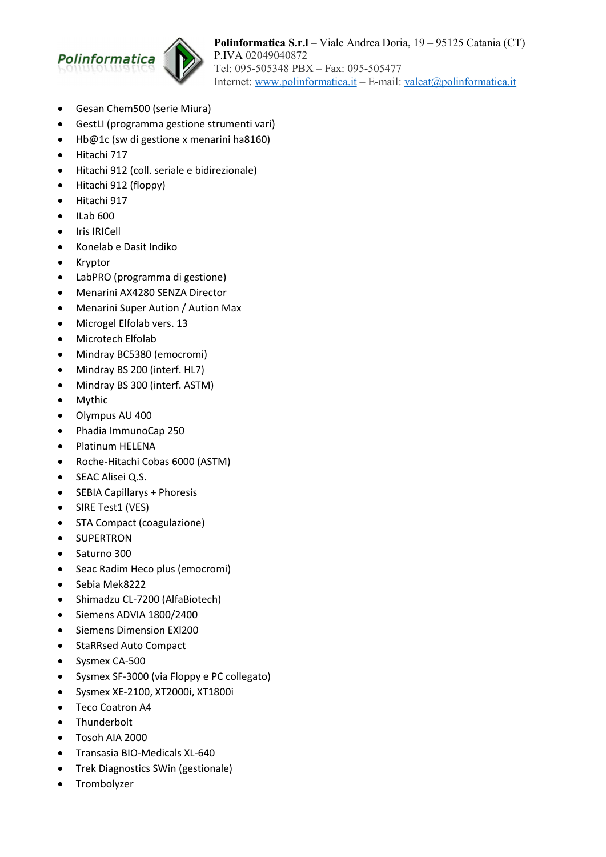

- Gesan Chem500 (serie Miura)
- GestLI (programma gestione strumenti vari)
- Hb@1c (sw di gestione x menarini ha8160)
- Hitachi 717
- Hitachi 912 (coll. seriale e bidirezionale)
- Hitachi 912 (floppy)
- Hitachi 917
- $\bullet$  ILab 600
- Iris IRICell
- Konelab e Dasit Indiko
- Kryptor
- LabPRO (programma di gestione)
- Menarini AX4280 SENZA Director
- Menarini Super Aution / Aution Max
- Microgel Elfolab vers. 13
- Microtech Elfolab
- Mindray BC5380 (emocromi)
- Mindray BS 200 (interf. HL7)
- Mindray BS 300 (interf. ASTM)
- Mythic
- Olympus AU 400
- Phadia ImmunoCap 250
- Platinum HELENA
- Roche-Hitachi Cobas 6000 (ASTM)
- SEAC Alisei Q.S.
- SEBIA Capillarys + Phoresis
- SIRE Test1 (VES)
- STA Compact (coagulazione)
- **•** SUPERTRON
- Saturno 300
- Seac Radim Heco plus (emocromi)
- Sebia Mek8222
- Shimadzu CL-7200 (AlfaBiotech)
- Siemens ADVIA 1800/2400
- Siemens Dimension EXl200
- StaRRsed Auto Compact
- Sysmex CA-500
- Sysmex SF-3000 (via Floppy e PC collegato)
- Sysmex XE-2100, XT2000i, XT1800i
- Teco Coatron A4
- Thunderbolt
- Tosoh AIA 2000
- Transasia BIO-Medicals XL-640
- Trek Diagnostics SWin (gestionale)
- Trombolyzer